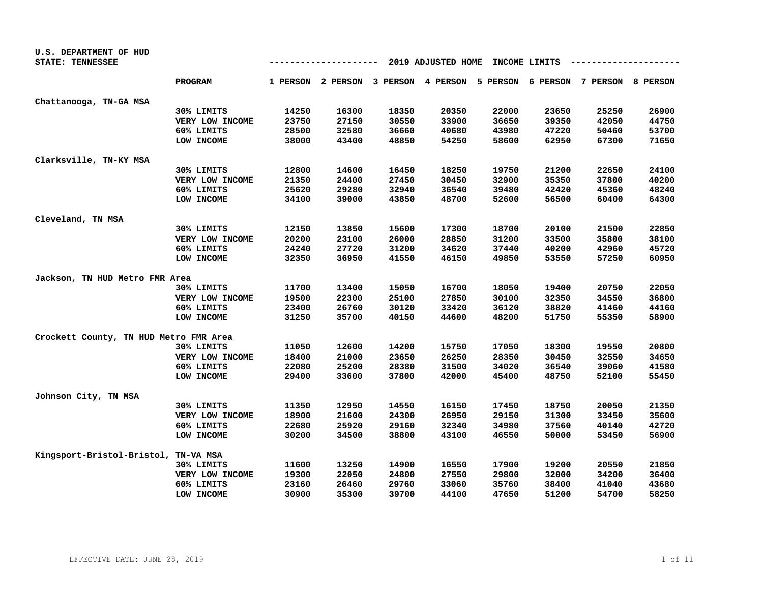| U.S. DEPARTMENT OF HUD<br>STATE: TENNESSEE |                 | 2019 ADJUSTED HOME<br>INCOME LIMITS<br>--- |       |       |                                                                         |       |       |       |       |  |
|--------------------------------------------|-----------------|--------------------------------------------|-------|-------|-------------------------------------------------------------------------|-------|-------|-------|-------|--|
|                                            |                 |                                            |       |       |                                                                         |       |       |       |       |  |
|                                            | <b>PROGRAM</b>  |                                            |       |       | 1 PERSON 2 PERSON 3 PERSON 4 PERSON 5 PERSON 6 PERSON 7 PERSON 8 PERSON |       |       |       |       |  |
| Chattanooga, TN-GA MSA                     |                 |                                            |       |       |                                                                         |       |       |       |       |  |
|                                            | 30% LIMITS      | 14250                                      | 16300 | 18350 | 20350                                                                   | 22000 | 23650 | 25250 | 26900 |  |
|                                            | VERY LOW INCOME | 23750                                      | 27150 | 30550 | 33900                                                                   | 36650 | 39350 | 42050 | 44750 |  |
|                                            | 60% LIMITS      | 28500                                      | 32580 | 36660 | 40680                                                                   | 43980 | 47220 | 50460 | 53700 |  |
|                                            | LOW INCOME      | 38000                                      | 43400 | 48850 | 54250                                                                   | 58600 | 62950 | 67300 | 71650 |  |
| Clarksville, TN-KY MSA                     |                 |                                            |       |       |                                                                         |       |       |       |       |  |
|                                            | 30% LIMITS      | 12800                                      | 14600 | 16450 | 18250                                                                   | 19750 | 21200 | 22650 | 24100 |  |
|                                            | VERY LOW INCOME | 21350                                      | 24400 | 27450 | 30450                                                                   | 32900 | 35350 | 37800 | 40200 |  |
|                                            | 60% LIMITS      | 25620                                      | 29280 | 32940 | 36540                                                                   | 39480 | 42420 | 45360 | 48240 |  |
|                                            | LOW INCOME      | 34100                                      | 39000 | 43850 | 48700                                                                   | 52600 | 56500 | 60400 | 64300 |  |
| Cleveland, TN MSA                          |                 |                                            |       |       |                                                                         |       |       |       |       |  |
|                                            | 30% LIMITS      | 12150                                      | 13850 | 15600 | 17300                                                                   | 18700 | 20100 | 21500 | 22850 |  |
|                                            | VERY LOW INCOME | 20200                                      | 23100 | 26000 | 28850                                                                   | 31200 | 33500 | 35800 | 38100 |  |
|                                            | 60% LIMITS      | 24240                                      | 27720 | 31200 | 34620                                                                   | 37440 | 40200 | 42960 | 45720 |  |
|                                            | LOW INCOME      | 32350                                      | 36950 | 41550 | 46150                                                                   | 49850 | 53550 | 57250 | 60950 |  |
| Jackson, TN HUD Metro FMR Area             |                 |                                            |       |       |                                                                         |       |       |       |       |  |
|                                            | 30% LIMITS      | 11700                                      | 13400 | 15050 | 16700                                                                   | 18050 | 19400 | 20750 | 22050 |  |
|                                            | VERY LOW INCOME | 19500                                      | 22300 | 25100 | 27850                                                                   | 30100 | 32350 | 34550 | 36800 |  |
|                                            | 60% LIMITS      | 23400                                      | 26760 | 30120 | 33420                                                                   | 36120 | 38820 | 41460 | 44160 |  |
|                                            | LOW INCOME      | 31250                                      | 35700 | 40150 | 44600                                                                   | 48200 | 51750 | 55350 | 58900 |  |
| Crockett County, TN HUD Metro FMR Area     |                 |                                            |       |       |                                                                         |       |       |       |       |  |
|                                            | 30% LIMITS      | 11050                                      | 12600 | 14200 | 15750                                                                   | 17050 | 18300 | 19550 | 20800 |  |
|                                            | VERY LOW INCOME | 18400                                      | 21000 | 23650 | 26250                                                                   | 28350 | 30450 | 32550 | 34650 |  |
|                                            | 60% LIMITS      | 22080                                      | 25200 | 28380 | 31500                                                                   | 34020 | 36540 | 39060 | 41580 |  |
|                                            | LOW INCOME      | 29400                                      | 33600 | 37800 | 42000                                                                   | 45400 | 48750 | 52100 | 55450 |  |
| Johnson City, TN MSA                       |                 |                                            |       |       |                                                                         |       |       |       |       |  |
|                                            | 30% LIMITS      | 11350                                      | 12950 | 14550 | 16150                                                                   | 17450 | 18750 | 20050 | 21350 |  |
|                                            | VERY LOW INCOME | 18900                                      | 21600 | 24300 | 26950                                                                   | 29150 | 31300 | 33450 | 35600 |  |
|                                            | 60% LIMITS      | 22680                                      | 25920 | 29160 | 32340                                                                   | 34980 | 37560 | 40140 | 42720 |  |
|                                            | LOW INCOME      | 30200                                      | 34500 | 38800 | 43100                                                                   | 46550 | 50000 | 53450 | 56900 |  |
| Kingsport-Bristol-Bristol, TN-VA MSA       |                 |                                            |       |       |                                                                         |       |       |       |       |  |
|                                            | 30% LIMITS      | 11600                                      | 13250 | 14900 | 16550                                                                   | 17900 | 19200 | 20550 | 21850 |  |
|                                            | VERY LOW INCOME | 19300                                      | 22050 | 24800 | 27550                                                                   | 29800 | 32000 | 34200 | 36400 |  |
|                                            | 60% LIMITS      | 23160                                      | 26460 | 29760 | 33060                                                                   | 35760 | 38400 | 41040 | 43680 |  |
|                                            | LOW INCOME      | 30900                                      | 35300 | 39700 | 44100                                                                   | 47650 | 51200 | 54700 | 58250 |  |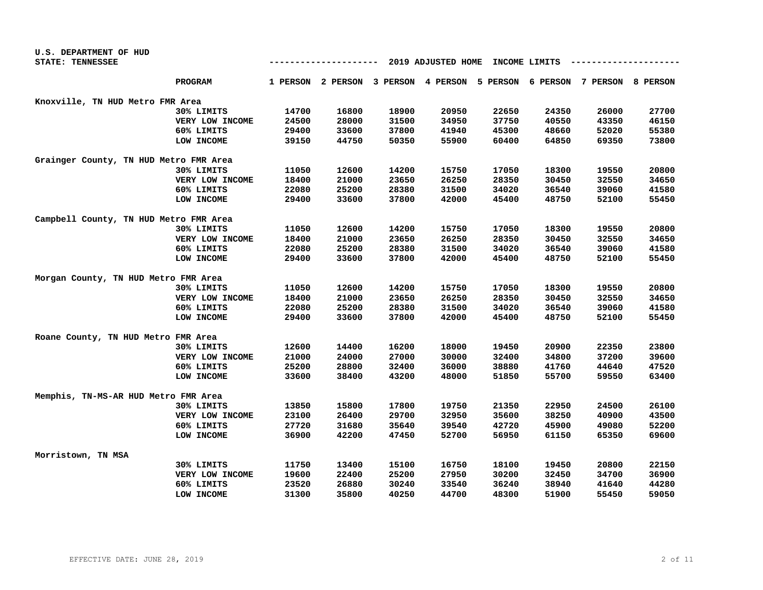| U.S. DEPARTMENT OF HUD                 |                 |                                     |       |       |       |       |       |                                                                         |       |
|----------------------------------------|-----------------|-------------------------------------|-------|-------|-------|-------|-------|-------------------------------------------------------------------------|-------|
| STATE: TENNESSEE                       |                 | 2019 ADJUSTED HOME<br>INCOME LIMITS |       |       |       |       |       |                                                                         |       |
|                                        | <b>PROGRAM</b>  |                                     |       |       |       |       |       | 1 PERSON 2 PERSON 3 PERSON 4 PERSON 5 PERSON 6 PERSON 7 PERSON 8 PERSON |       |
| Knoxville, TN HUD Metro FMR Area       |                 |                                     |       |       |       |       |       |                                                                         |       |
|                                        | 30% LIMITS      | 14700                               | 16800 | 18900 | 20950 | 22650 | 24350 | 26000                                                                   | 27700 |
|                                        | VERY LOW INCOME | 24500                               | 28000 | 31500 | 34950 | 37750 | 40550 | 43350                                                                   | 46150 |
|                                        | 60% LIMITS      | 29400                               | 33600 | 37800 | 41940 | 45300 | 48660 | 52020                                                                   | 55380 |
|                                        | LOW INCOME      | 39150                               | 44750 | 50350 | 55900 | 60400 | 64850 | 69350                                                                   | 73800 |
| Grainger County, TN HUD Metro FMR Area |                 |                                     |       |       |       |       |       |                                                                         |       |
|                                        | 30% LIMITS      | 11050                               | 12600 | 14200 | 15750 | 17050 | 18300 | 19550                                                                   | 20800 |
|                                        | VERY LOW INCOME | 18400                               | 21000 | 23650 | 26250 | 28350 | 30450 | 32550                                                                   | 34650 |
|                                        | 60% LIMITS      | 22080                               | 25200 | 28380 | 31500 | 34020 | 36540 | 39060                                                                   | 41580 |
|                                        | LOW INCOME      | 29400                               | 33600 | 37800 | 42000 | 45400 | 48750 | 52100                                                                   | 55450 |
| Campbell County, TN HUD Metro FMR Area |                 |                                     |       |       |       |       |       |                                                                         |       |
|                                        | 30% LIMITS      | 11050                               | 12600 | 14200 | 15750 | 17050 | 18300 | 19550                                                                   | 20800 |
|                                        | VERY LOW INCOME | 18400                               | 21000 | 23650 | 26250 | 28350 | 30450 | 32550                                                                   | 34650 |
|                                        | 60% LIMITS      | 22080                               | 25200 | 28380 | 31500 | 34020 | 36540 | 39060                                                                   | 41580 |
|                                        | LOW INCOME      | 29400                               | 33600 | 37800 | 42000 | 45400 | 48750 | 52100                                                                   | 55450 |
| Morgan County, TN HUD Metro FMR Area   |                 |                                     |       |       |       |       |       |                                                                         |       |
|                                        | 30% LIMITS      | 11050                               | 12600 | 14200 | 15750 | 17050 | 18300 | 19550                                                                   | 20800 |
|                                        | VERY LOW INCOME | 18400                               | 21000 | 23650 | 26250 | 28350 | 30450 | 32550                                                                   | 34650 |
|                                        | 60% LIMITS      | 22080                               | 25200 | 28380 | 31500 | 34020 | 36540 | 39060                                                                   | 41580 |
|                                        | LOW INCOME      | 29400                               | 33600 | 37800 | 42000 | 45400 | 48750 | 52100                                                                   | 55450 |
| Roane County, TN HUD Metro FMR Area    |                 |                                     |       |       |       |       |       |                                                                         |       |
|                                        | 30% LIMITS      | 12600                               | 14400 | 16200 | 18000 | 19450 | 20900 | 22350                                                                   | 23800 |
|                                        | VERY LOW INCOME | 21000                               | 24000 | 27000 | 30000 | 32400 | 34800 | 37200                                                                   | 39600 |
|                                        | 60% LIMITS      | 25200                               | 28800 | 32400 | 36000 | 38880 | 41760 | 44640                                                                   | 47520 |
|                                        | LOW INCOME      | 33600                               | 38400 | 43200 | 48000 | 51850 | 55700 | 59550                                                                   | 63400 |
| Memphis, TN-MS-AR HUD Metro FMR Area   |                 |                                     |       |       |       |       |       |                                                                         |       |
|                                        | 30% LIMITS      | 13850                               | 15800 | 17800 | 19750 | 21350 | 22950 | 24500                                                                   | 26100 |
|                                        | VERY LOW INCOME | 23100                               | 26400 | 29700 | 32950 | 35600 | 38250 | 40900                                                                   | 43500 |
|                                        | 60% LIMITS      | 27720                               | 31680 | 35640 | 39540 | 42720 | 45900 | 49080                                                                   | 52200 |
|                                        | LOW INCOME      | 36900                               | 42200 | 47450 | 52700 | 56950 | 61150 | 65350                                                                   | 69600 |
| Morristown, TN MSA                     |                 |                                     |       |       |       |       |       |                                                                         |       |
|                                        | 30% LIMITS      | 11750                               | 13400 | 15100 | 16750 | 18100 | 19450 | 20800                                                                   | 22150 |
|                                        | VERY LOW INCOME | 19600                               | 22400 | 25200 | 27950 | 30200 | 32450 | 34700                                                                   | 36900 |
|                                        | 60% LIMITS      | 23520                               | 26880 | 30240 | 33540 | 36240 | 38940 | 41640                                                                   | 44280 |
|                                        | LOW INCOME      | 31300                               | 35800 | 40250 | 44700 | 48300 | 51900 | 55450                                                                   | 59050 |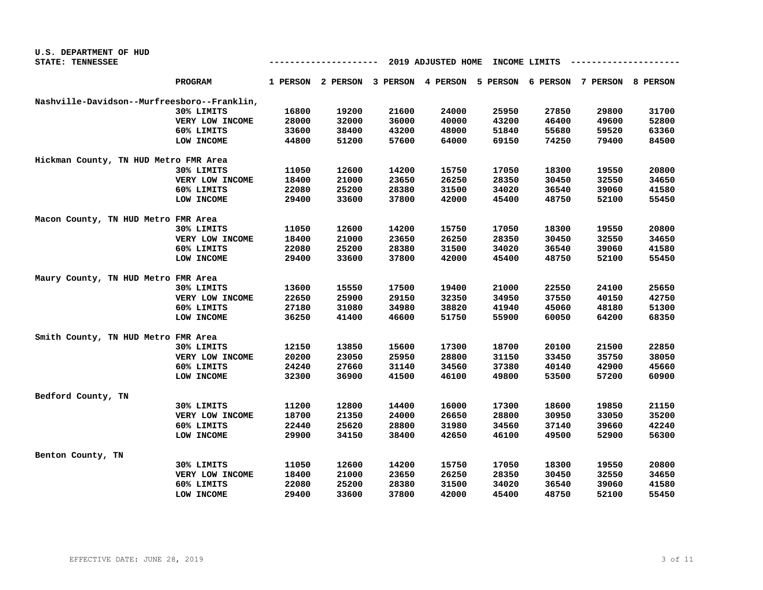| U.S. DEPARTMENT OF HUD                      |                                                |       |                                     |       |       |       |       |                                     |       |
|---------------------------------------------|------------------------------------------------|-------|-------------------------------------|-------|-------|-------|-------|-------------------------------------|-------|
| STATE: TENNESSEE                            | 2019 ADJUSTED HOME<br>INCOME LIMITS<br>------- |       |                                     |       |       |       |       |                                     |       |
|                                             | <b>PROGRAM</b>                                 |       | 1 PERSON 2 PERSON 3 PERSON 4 PERSON |       |       |       |       | 5 PERSON 6 PERSON 7 PERSON 8 PERSON |       |
| Nashville-Davidson--Murfreesboro--Franklin, |                                                |       |                                     |       |       |       |       |                                     |       |
|                                             | 30% LIMITS                                     | 16800 | 19200                               | 21600 | 24000 | 25950 | 27850 | 29800                               | 31700 |
|                                             | VERY LOW INCOME                                | 28000 | 32000                               | 36000 | 40000 | 43200 | 46400 | 49600                               | 52800 |
|                                             | 60% LIMITS                                     | 33600 | 38400                               | 43200 | 48000 | 51840 | 55680 | 59520                               | 63360 |
|                                             | LOW INCOME                                     | 44800 | 51200                               | 57600 | 64000 | 69150 | 74250 | 79400                               | 84500 |
| Hickman County, TN HUD Metro FMR Area       |                                                |       |                                     |       |       |       |       |                                     |       |
|                                             | 30% LIMITS                                     | 11050 | 12600                               | 14200 | 15750 | 17050 | 18300 | 19550                               | 20800 |
|                                             | VERY LOW INCOME                                | 18400 | 21000                               | 23650 | 26250 | 28350 | 30450 | 32550                               | 34650 |
|                                             | 60% LIMITS                                     | 22080 | 25200                               | 28380 | 31500 | 34020 | 36540 | 39060                               | 41580 |
|                                             | LOW INCOME                                     | 29400 | 33600                               | 37800 | 42000 | 45400 | 48750 | 52100                               | 55450 |
| Macon County, TN HUD Metro FMR Area         |                                                |       |                                     |       |       |       |       |                                     |       |
|                                             | 30% LIMITS                                     | 11050 | 12600                               | 14200 | 15750 | 17050 | 18300 | 19550                               | 20800 |
|                                             | VERY LOW INCOME                                | 18400 | 21000                               | 23650 | 26250 | 28350 | 30450 | 32550                               | 34650 |
|                                             | 60% LIMITS                                     | 22080 | 25200                               | 28380 | 31500 | 34020 | 36540 | 39060                               | 41580 |
|                                             | LOW INCOME                                     | 29400 | 33600                               | 37800 | 42000 | 45400 | 48750 | 52100                               | 55450 |
| Maury County, TN HUD Metro FMR Area         |                                                |       |                                     |       |       |       |       |                                     |       |
|                                             | 30% LIMITS                                     | 13600 | 15550                               | 17500 | 19400 | 21000 | 22550 | 24100                               | 25650 |
|                                             | VERY LOW INCOME                                | 22650 | 25900                               | 29150 | 32350 | 34950 | 37550 | 40150                               | 42750 |
|                                             | 60% LIMITS                                     | 27180 | 31080                               | 34980 | 38820 | 41940 | 45060 | 48180                               | 51300 |
|                                             | LOW INCOME                                     | 36250 | 41400                               | 46600 | 51750 | 55900 | 60050 | 64200                               | 68350 |
| Smith County, TN HUD Metro FMR Area         |                                                |       |                                     |       |       |       |       |                                     |       |
|                                             | 30% LIMITS                                     | 12150 | 13850                               | 15600 | 17300 | 18700 | 20100 | 21500                               | 22850 |
|                                             | VERY LOW INCOME                                | 20200 | 23050                               | 25950 | 28800 | 31150 | 33450 | 35750                               | 38050 |
|                                             | 60% LIMITS                                     | 24240 | 27660                               | 31140 | 34560 | 37380 | 40140 | 42900                               | 45660 |
|                                             | LOW INCOME                                     | 32300 | 36900                               | 41500 | 46100 | 49800 | 53500 | 57200                               | 60900 |
| Bedford County, TN                          |                                                |       |                                     |       |       |       |       |                                     |       |
|                                             | 30% LIMITS                                     | 11200 | 12800                               | 14400 | 16000 | 17300 | 18600 | 19850                               | 21150 |
|                                             | VERY LOW INCOME                                | 18700 | 21350                               | 24000 | 26650 | 28800 | 30950 | 33050                               | 35200 |
|                                             | 60% LIMITS                                     | 22440 | 25620                               | 28800 | 31980 | 34560 | 37140 | 39660                               | 42240 |
|                                             | LOW INCOME                                     | 29900 | 34150                               | 38400 | 42650 | 46100 | 49500 | 52900                               | 56300 |
| Benton County, TN                           |                                                |       |                                     |       |       |       |       |                                     |       |
|                                             | 30% LIMITS                                     | 11050 | 12600                               | 14200 | 15750 | 17050 | 18300 | 19550                               | 20800 |
|                                             | VERY LOW INCOME                                | 18400 | 21000                               | 23650 | 26250 | 28350 | 30450 | 32550                               | 34650 |
|                                             | 60% LIMITS                                     | 22080 | 25200                               | 28380 | 31500 | 34020 | 36540 | 39060                               | 41580 |
|                                             | LOW INCOME                                     | 29400 | 33600                               | 37800 | 42000 | 45400 | 48750 | 52100                               | 55450 |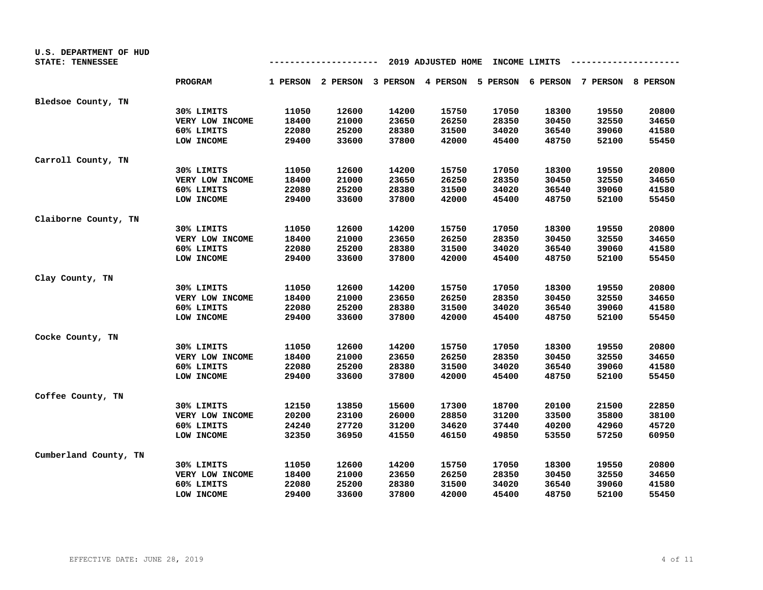| U.S. DEPARTMENT OF HUD<br>STATE: TENNESSEE |                 |       | ------ |       | 2019 ADJUSTED HOME |       | INCOME LIMITS |                                                                         |       |
|--------------------------------------------|-----------------|-------|--------|-------|--------------------|-------|---------------|-------------------------------------------------------------------------|-------|
|                                            | <b>PROGRAM</b>  |       |        |       |                    |       |               | 1 PERSON 2 PERSON 3 PERSON 4 PERSON 5 PERSON 6 PERSON 7 PERSON 8 PERSON |       |
| Bledsoe County, TN                         |                 |       |        |       |                    |       |               |                                                                         |       |
|                                            | 30% LIMITS      | 11050 | 12600  | 14200 | 15750              | 17050 | 18300         | 19550                                                                   | 20800 |
|                                            | VERY LOW INCOME | 18400 | 21000  | 23650 | 26250              | 28350 | 30450         | 32550                                                                   | 34650 |
|                                            | 60% LIMITS      | 22080 | 25200  | 28380 | 31500              | 34020 | 36540         | 39060                                                                   | 41580 |
|                                            | LOW INCOME      | 29400 | 33600  | 37800 | 42000              | 45400 | 48750         | 52100                                                                   | 55450 |
| Carroll County, TN                         |                 |       |        |       |                    |       |               |                                                                         |       |
|                                            | 30% LIMITS      | 11050 | 12600  | 14200 | 15750              | 17050 | 18300         | 19550                                                                   | 20800 |
|                                            | VERY LOW INCOME | 18400 | 21000  | 23650 | 26250              | 28350 | 30450         | 32550                                                                   | 34650 |
|                                            | 60% LIMITS      | 22080 | 25200  | 28380 | 31500              | 34020 | 36540         | 39060                                                                   | 41580 |
|                                            | LOW INCOME      | 29400 | 33600  | 37800 | 42000              | 45400 | 48750         | 52100                                                                   | 55450 |
| Claiborne County, TN                       |                 |       |        |       |                    |       |               |                                                                         |       |
|                                            | 30% LIMITS      | 11050 | 12600  | 14200 | 15750              | 17050 | 18300         | 19550                                                                   | 20800 |
|                                            | VERY LOW INCOME | 18400 | 21000  | 23650 | 26250              | 28350 | 30450         | 32550                                                                   | 34650 |
|                                            | 60% LIMITS      | 22080 | 25200  | 28380 | 31500              | 34020 | 36540         | 39060                                                                   | 41580 |
|                                            | LOW INCOME      | 29400 | 33600  | 37800 | 42000              | 45400 | 48750         | 52100                                                                   | 55450 |
| Clay County, TN                            |                 |       |        |       |                    |       |               |                                                                         |       |
|                                            | 30% LIMITS      | 11050 | 12600  | 14200 | 15750              | 17050 | 18300         | 19550                                                                   | 20800 |
|                                            | VERY LOW INCOME | 18400 | 21000  | 23650 | 26250              | 28350 | 30450         | 32550                                                                   | 34650 |
|                                            | 60% LIMITS      | 22080 | 25200  | 28380 | 31500              | 34020 | 36540         | 39060                                                                   | 41580 |
|                                            | LOW INCOME      | 29400 | 33600  | 37800 | 42000              | 45400 | 48750         | 52100                                                                   | 55450 |
| Cocke County, TN                           |                 |       |        |       |                    |       |               |                                                                         |       |
|                                            | 30% LIMITS      | 11050 | 12600  | 14200 | 15750              | 17050 | 18300         | 19550                                                                   | 20800 |
|                                            | VERY LOW INCOME | 18400 | 21000  | 23650 | 26250              | 28350 | 30450         | 32550                                                                   | 34650 |
|                                            | 60% LIMITS      | 22080 | 25200  | 28380 | 31500              | 34020 | 36540         | 39060                                                                   | 41580 |
|                                            | LOW INCOME      | 29400 | 33600  | 37800 | 42000              | 45400 | 48750         | 52100                                                                   | 55450 |
| Coffee County, TN                          |                 |       |        |       |                    |       |               |                                                                         |       |
|                                            | 30% LIMITS      | 12150 | 13850  | 15600 | 17300              | 18700 | 20100         | 21500                                                                   | 22850 |
|                                            | VERY LOW INCOME | 20200 | 23100  | 26000 | 28850              | 31200 | 33500         | 35800                                                                   | 38100 |
|                                            | 60% LIMITS      | 24240 | 27720  | 31200 | 34620              | 37440 | 40200         | 42960                                                                   | 45720 |
|                                            | LOW INCOME      | 32350 | 36950  | 41550 | 46150              | 49850 | 53550         | 57250                                                                   | 60950 |
| Cumberland County, TN                      |                 |       |        |       |                    |       |               |                                                                         |       |
|                                            | 30% LIMITS      | 11050 | 12600  | 14200 | 15750              | 17050 | 18300         | 19550                                                                   | 20800 |
|                                            | VERY LOW INCOME | 18400 | 21000  | 23650 | 26250              | 28350 | 30450         | 32550                                                                   | 34650 |
|                                            | 60% LIMITS      | 22080 | 25200  | 28380 | 31500              | 34020 | 36540         | 39060                                                                   | 41580 |
|                                            | LOW INCOME      | 29400 | 33600  | 37800 | 42000              | 45400 | 48750         | 52100                                                                   | 55450 |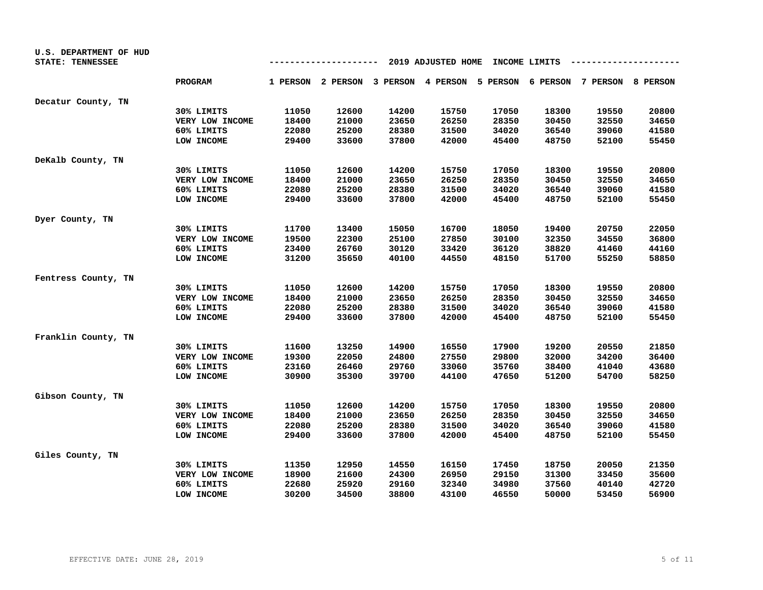| U.S. DEPARTMENT OF HUD<br>STATE: TENNESSEE |                 |       |       | ---   | 2019 ADJUSTED HOME |       | INCOME LIMITS |                                                                         |       |
|--------------------------------------------|-----------------|-------|-------|-------|--------------------|-------|---------------|-------------------------------------------------------------------------|-------|
|                                            | <b>PROGRAM</b>  |       |       |       |                    |       |               | 1 PERSON 2 PERSON 3 PERSON 4 PERSON 5 PERSON 6 PERSON 7 PERSON 8 PERSON |       |
| Decatur County, TN                         |                 |       |       |       |                    |       |               |                                                                         |       |
|                                            | 30% LIMITS      | 11050 | 12600 | 14200 | 15750              | 17050 | 18300         | 19550                                                                   | 20800 |
|                                            | VERY LOW INCOME | 18400 | 21000 | 23650 | 26250              | 28350 | 30450         | 32550                                                                   | 34650 |
|                                            | 60% LIMITS      | 22080 | 25200 | 28380 | 31500              | 34020 | 36540         | 39060                                                                   | 41580 |
|                                            | LOW INCOME      | 29400 | 33600 | 37800 | 42000              | 45400 | 48750         | 52100                                                                   | 55450 |
| DeKalb County, TN                          |                 |       |       |       |                    |       |               |                                                                         |       |
|                                            | 30% LIMITS      | 11050 | 12600 | 14200 | 15750              | 17050 | 18300         | 19550                                                                   | 20800 |
|                                            | VERY LOW INCOME | 18400 | 21000 | 23650 | 26250              | 28350 | 30450         | 32550                                                                   | 34650 |
|                                            | 60% LIMITS      | 22080 | 25200 | 28380 | 31500              | 34020 | 36540         | 39060                                                                   | 41580 |
|                                            | LOW INCOME      | 29400 | 33600 | 37800 | 42000              | 45400 | 48750         | 52100                                                                   | 55450 |
| Dyer County, TN                            |                 |       |       |       |                    |       |               |                                                                         |       |
|                                            | 30% LIMITS      | 11700 | 13400 | 15050 | 16700              | 18050 | 19400         | 20750                                                                   | 22050 |
|                                            | VERY LOW INCOME | 19500 | 22300 | 25100 | 27850              | 30100 | 32350         | 34550                                                                   | 36800 |
|                                            | 60% LIMITS      | 23400 | 26760 | 30120 | 33420              | 36120 | 38820         | 41460                                                                   | 44160 |
|                                            | LOW INCOME      | 31200 | 35650 | 40100 | 44550              | 48150 | 51700         | 55250                                                                   | 58850 |
| Fentress County, TN                        |                 |       |       |       |                    |       |               |                                                                         |       |
|                                            | 30% LIMITS      | 11050 | 12600 | 14200 | 15750              | 17050 | 18300         | 19550                                                                   | 20800 |
|                                            | VERY LOW INCOME | 18400 | 21000 | 23650 | 26250              | 28350 | 30450         | 32550                                                                   | 34650 |
|                                            | 60% LIMITS      | 22080 | 25200 | 28380 | 31500              | 34020 | 36540         | 39060                                                                   | 41580 |
|                                            | LOW INCOME      | 29400 | 33600 | 37800 | 42000              | 45400 | 48750         | 52100                                                                   | 55450 |
| Franklin County, TN                        |                 |       |       |       |                    |       |               |                                                                         |       |
|                                            | 30% LIMITS      | 11600 | 13250 | 14900 | 16550              | 17900 | 19200         | 20550                                                                   | 21850 |
|                                            | VERY LOW INCOME | 19300 | 22050 | 24800 | 27550              | 29800 | 32000         | 34200                                                                   | 36400 |
|                                            | 60% LIMITS      | 23160 | 26460 | 29760 | 33060              | 35760 | 38400         | 41040                                                                   | 43680 |
|                                            | LOW INCOME      | 30900 | 35300 | 39700 | 44100              | 47650 | 51200         | 54700                                                                   | 58250 |
| Gibson County, TN                          |                 |       |       |       |                    |       |               |                                                                         |       |
|                                            | 30% LIMITS      | 11050 | 12600 | 14200 | 15750              | 17050 | 18300         | 19550                                                                   | 20800 |
|                                            | VERY LOW INCOME | 18400 | 21000 | 23650 | 26250              | 28350 | 30450         | 32550                                                                   | 34650 |
|                                            | 60% LIMITS      | 22080 | 25200 | 28380 | 31500              | 34020 | 36540         | 39060                                                                   | 41580 |
|                                            | LOW INCOME      | 29400 | 33600 | 37800 | 42000              | 45400 | 48750         | 52100                                                                   | 55450 |
| Giles County, TN                           |                 |       |       |       |                    |       |               |                                                                         |       |
|                                            | 30% LIMITS      | 11350 | 12950 | 14550 | 16150              | 17450 | 18750         | 20050                                                                   | 21350 |
|                                            | VERY LOW INCOME | 18900 | 21600 | 24300 | 26950              | 29150 | 31300         | 33450                                                                   | 35600 |
|                                            | 60% LIMITS      | 22680 | 25920 | 29160 | 32340              | 34980 | 37560         | 40140                                                                   | 42720 |
|                                            | LOW INCOME      | 30200 | 34500 | 38800 | 43100              | 46550 | 50000         | 53450                                                                   | 56900 |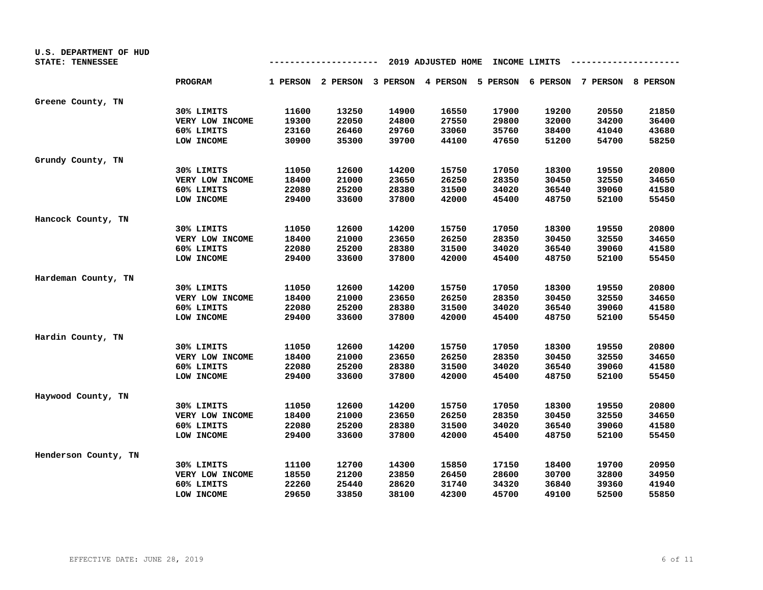| U.S. DEPARTMENT OF HUD<br>STATE: TENNESSEE |                 |       |       |       | 2019 ADJUSTED HOME |       | INCOME LIMITS |                                                                         |       |
|--------------------------------------------|-----------------|-------|-------|-------|--------------------|-------|---------------|-------------------------------------------------------------------------|-------|
|                                            | <b>PROGRAM</b>  |       |       |       |                    |       |               | 1 PERSON 2 PERSON 3 PERSON 4 PERSON 5 PERSON 6 PERSON 7 PERSON 8 PERSON |       |
| Greene County, TN                          |                 |       |       |       |                    |       |               |                                                                         |       |
|                                            | 30% LIMITS      | 11600 | 13250 | 14900 | 16550              | 17900 | 19200         | 20550                                                                   | 21850 |
|                                            | VERY LOW INCOME | 19300 | 22050 | 24800 | 27550              | 29800 | 32000         | 34200                                                                   | 36400 |
|                                            | 60% LIMITS      | 23160 | 26460 | 29760 | 33060              | 35760 | 38400         | 41040                                                                   | 43680 |
|                                            | LOW INCOME      | 30900 | 35300 | 39700 | 44100              | 47650 | 51200         | 54700                                                                   | 58250 |
| Grundy County, TN                          |                 |       |       |       |                    |       |               |                                                                         |       |
|                                            | 30% LIMITS      | 11050 | 12600 | 14200 | 15750              | 17050 | 18300         | 19550                                                                   | 20800 |
|                                            | VERY LOW INCOME | 18400 | 21000 | 23650 | 26250              | 28350 | 30450         | 32550                                                                   | 34650 |
|                                            | 60% LIMITS      | 22080 | 25200 | 28380 | 31500              | 34020 | 36540         | 39060                                                                   | 41580 |
|                                            | LOW INCOME      | 29400 | 33600 | 37800 | 42000              | 45400 | 48750         | 52100                                                                   | 55450 |
| Hancock County, TN                         |                 |       |       |       |                    |       |               |                                                                         |       |
|                                            | 30% LIMITS      | 11050 | 12600 | 14200 | 15750              | 17050 | 18300         | 19550                                                                   | 20800 |
|                                            | VERY LOW INCOME | 18400 | 21000 | 23650 | 26250              | 28350 | 30450         | 32550                                                                   | 34650 |
|                                            | 60% LIMITS      | 22080 | 25200 | 28380 | 31500              | 34020 | 36540         | 39060                                                                   | 41580 |
|                                            | LOW INCOME      | 29400 | 33600 | 37800 | 42000              | 45400 | 48750         | 52100                                                                   | 55450 |
| Hardeman County, TN                        |                 |       |       |       |                    |       |               |                                                                         |       |
|                                            | 30% LIMITS      | 11050 | 12600 | 14200 | 15750              | 17050 | 18300         | 19550                                                                   | 20800 |
|                                            | VERY LOW INCOME | 18400 | 21000 | 23650 | 26250              | 28350 | 30450         | 32550                                                                   | 34650 |
|                                            | 60% LIMITS      | 22080 | 25200 | 28380 | 31500              | 34020 | 36540         | 39060                                                                   | 41580 |
|                                            | LOW INCOME      | 29400 | 33600 | 37800 | 42000              | 45400 | 48750         | 52100                                                                   | 55450 |
| Hardin County, TN                          |                 |       |       |       |                    |       |               |                                                                         |       |
|                                            | 30% LIMITS      | 11050 | 12600 | 14200 | 15750              | 17050 | 18300         | 19550                                                                   | 20800 |
|                                            | VERY LOW INCOME | 18400 | 21000 | 23650 | 26250              | 28350 | 30450         | 32550                                                                   | 34650 |
|                                            | 60% LIMITS      | 22080 | 25200 | 28380 | 31500              | 34020 | 36540         | 39060                                                                   | 41580 |
|                                            | LOW INCOME      | 29400 | 33600 | 37800 | 42000              | 45400 | 48750         | 52100                                                                   | 55450 |
| Haywood County, TN                         |                 |       |       |       |                    |       |               |                                                                         |       |
|                                            | 30% LIMITS      | 11050 | 12600 | 14200 | 15750              | 17050 | 18300         | 19550                                                                   | 20800 |
|                                            | VERY LOW INCOME | 18400 | 21000 | 23650 | 26250              | 28350 | 30450         | 32550                                                                   | 34650 |
|                                            | 60% LIMITS      | 22080 | 25200 | 28380 | 31500              | 34020 | 36540         | 39060                                                                   | 41580 |
|                                            | LOW INCOME      | 29400 | 33600 | 37800 | 42000              | 45400 | 48750         | 52100                                                                   | 55450 |
| Henderson County, TN                       |                 |       |       |       |                    |       |               |                                                                         |       |
|                                            | 30% LIMITS      | 11100 | 12700 | 14300 | 15850              | 17150 | 18400         | 19700                                                                   | 20950 |
|                                            | VERY LOW INCOME | 18550 | 21200 | 23850 | 26450              | 28600 | 30700         | 32800                                                                   | 34950 |
|                                            | 60% LIMITS      | 22260 | 25440 | 28620 | 31740              | 34320 | 36840         | 39360                                                                   | 41940 |
|                                            | LOW INCOME      | 29650 | 33850 | 38100 | 42300              | 45700 | 49100         | 52500                                                                   | 55850 |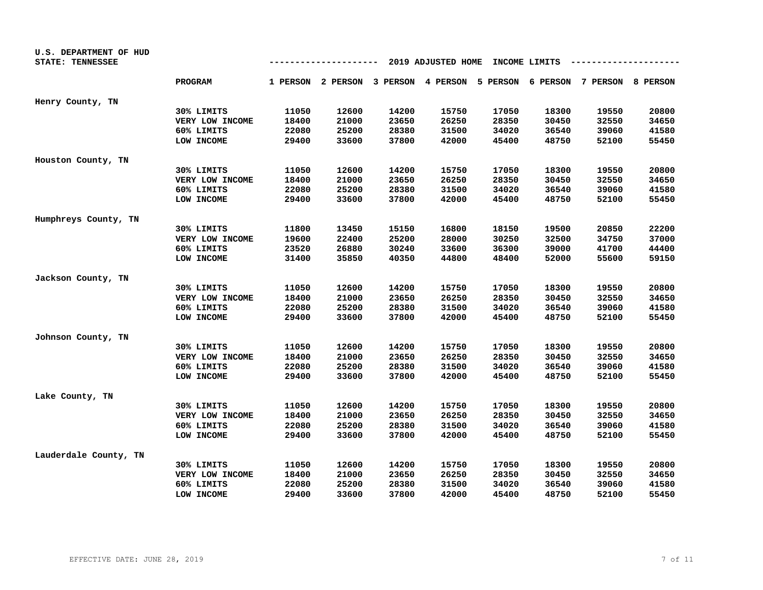| U.S. DEPARTMENT OF HUD<br>STATE: TENNESSEE |                 |       |       |                                     | 2019 ADJUSTED HOME |       | INCOME LIMITS |                                     |       |
|--------------------------------------------|-----------------|-------|-------|-------------------------------------|--------------------|-------|---------------|-------------------------------------|-------|
|                                            | <b>PROGRAM</b>  |       |       | 1 PERSON 2 PERSON 3 PERSON 4 PERSON |                    |       |               | 5 PERSON 6 PERSON 7 PERSON 8 PERSON |       |
| Henry County, TN                           |                 |       |       |                                     |                    |       |               |                                     |       |
|                                            | 30% LIMITS      | 11050 | 12600 | 14200                               | 15750              | 17050 | 18300         | 19550                               | 20800 |
|                                            | VERY LOW INCOME | 18400 | 21000 | 23650                               | 26250              | 28350 | 30450         | 32550                               | 34650 |
|                                            | 60% LIMITS      | 22080 | 25200 | 28380                               | 31500              | 34020 | 36540         | 39060                               | 41580 |
|                                            | LOW INCOME      | 29400 | 33600 | 37800                               | 42000              | 45400 | 48750         | 52100                               | 55450 |
| Houston County, TN                         |                 |       |       |                                     |                    |       |               |                                     |       |
|                                            | 30% LIMITS      | 11050 | 12600 | 14200                               | 15750              | 17050 | 18300         | 19550                               | 20800 |
|                                            | VERY LOW INCOME | 18400 | 21000 | 23650                               | 26250              | 28350 | 30450         | 32550                               | 34650 |
|                                            | 60% LIMITS      | 22080 | 25200 | 28380                               | 31500              | 34020 | 36540         | 39060                               | 41580 |
|                                            | LOW INCOME      | 29400 | 33600 | 37800                               | 42000              | 45400 | 48750         | 52100                               | 55450 |
| Humphreys County, TN                       |                 |       |       |                                     |                    |       |               |                                     |       |
|                                            | 30% LIMITS      | 11800 | 13450 | 15150                               | 16800              | 18150 | 19500         | 20850                               | 22200 |
|                                            | VERY LOW INCOME | 19600 | 22400 | 25200                               | 28000              | 30250 | 32500         | 34750                               | 37000 |
|                                            | 60% LIMITS      | 23520 | 26880 | 30240                               | 33600              | 36300 | 39000         | 41700                               | 44400 |
|                                            | LOW INCOME      | 31400 | 35850 | 40350                               | 44800              | 48400 | 52000         | 55600                               | 59150 |
| Jackson County, TN                         |                 |       |       |                                     |                    |       |               |                                     |       |
|                                            | 30% LIMITS      | 11050 | 12600 | 14200                               | 15750              | 17050 | 18300         | 19550                               | 20800 |
|                                            | VERY LOW INCOME | 18400 | 21000 | 23650                               | 26250              | 28350 | 30450         | 32550                               | 34650 |
|                                            | 60% LIMITS      | 22080 | 25200 | 28380                               | 31500              | 34020 | 36540         | 39060                               | 41580 |
|                                            | LOW INCOME      | 29400 | 33600 | 37800                               | 42000              | 45400 | 48750         | 52100                               | 55450 |
| Johnson County, TN                         |                 |       |       |                                     |                    |       |               |                                     |       |
|                                            | 30% LIMITS      | 11050 | 12600 | 14200                               | 15750              | 17050 | 18300         | 19550                               | 20800 |
|                                            | VERY LOW INCOME | 18400 | 21000 | 23650                               | 26250              | 28350 | 30450         | 32550                               | 34650 |
|                                            | 60% LIMITS      | 22080 | 25200 | 28380                               | 31500              | 34020 | 36540         | 39060                               | 41580 |
|                                            | LOW INCOME      | 29400 | 33600 | 37800                               | 42000              | 45400 | 48750         | 52100                               | 55450 |
| Lake County, TN                            |                 |       |       |                                     |                    |       |               |                                     |       |
|                                            | 30% LIMITS      | 11050 | 12600 | 14200                               | 15750              | 17050 | 18300         | 19550                               | 20800 |
|                                            | VERY LOW INCOME | 18400 | 21000 | 23650                               | 26250              | 28350 | 30450         | 32550                               | 34650 |
|                                            | 60% LIMITS      | 22080 | 25200 | 28380                               | 31500              | 34020 | 36540         | 39060                               | 41580 |
|                                            | LOW INCOME      | 29400 | 33600 | 37800                               | 42000              | 45400 | 48750         | 52100                               | 55450 |
| Lauderdale County, TN                      |                 |       |       |                                     |                    |       |               |                                     |       |
|                                            | 30% LIMITS      | 11050 | 12600 | 14200                               | 15750              | 17050 | 18300         | 19550                               | 20800 |
|                                            | VERY LOW INCOME | 18400 | 21000 | 23650                               | 26250              | 28350 | 30450         | 32550                               | 34650 |
|                                            | 60% LIMITS      | 22080 | 25200 | 28380                               | 31500              | 34020 | 36540         | 39060                               | 41580 |
|                                            | LOW INCOME      | 29400 | 33600 | 37800                               | 42000              | 45400 | 48750         | 52100                               | 55450 |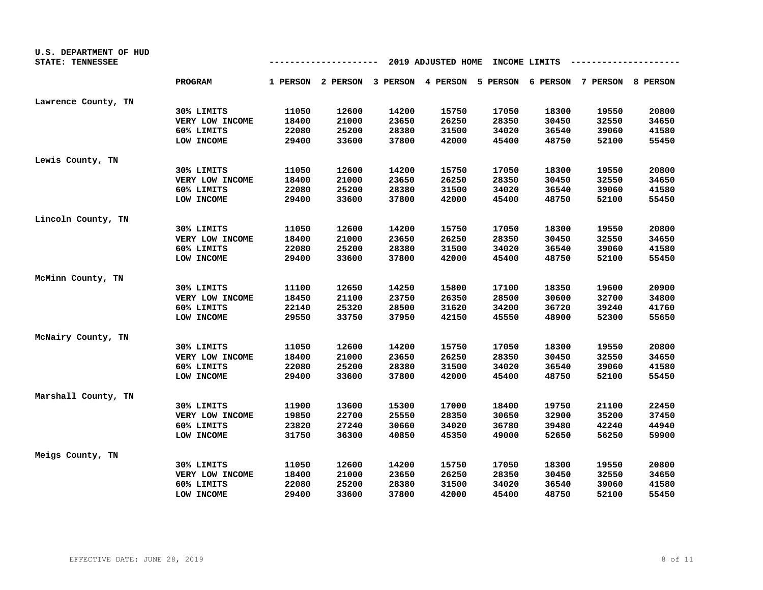| U.S. DEPARTMENT OF HUD |                 |                                            |       |       |       |       |       |                                                                         |       |  |  |
|------------------------|-----------------|--------------------------------------------|-------|-------|-------|-------|-------|-------------------------------------------------------------------------|-------|--|--|
| STATE: TENNESSEE       |                 | 2019 ADJUSTED HOME<br>INCOME LIMITS<br>--- |       |       |       |       |       |                                                                         |       |  |  |
|                        | <b>PROGRAM</b>  |                                            |       |       |       |       |       | 1 PERSON 2 PERSON 3 PERSON 4 PERSON 5 PERSON 6 PERSON 7 PERSON 8 PERSON |       |  |  |
| Lawrence County, TN    |                 |                                            |       |       |       |       |       |                                                                         |       |  |  |
|                        | 30% LIMITS      | 11050                                      | 12600 | 14200 | 15750 | 17050 | 18300 | 19550                                                                   | 20800 |  |  |
|                        | VERY LOW INCOME | 18400                                      | 21000 | 23650 | 26250 | 28350 | 30450 | 32550                                                                   | 34650 |  |  |
|                        | 60% LIMITS      | 22080                                      | 25200 | 28380 | 31500 | 34020 | 36540 | 39060                                                                   | 41580 |  |  |
|                        | LOW INCOME      | 29400                                      | 33600 | 37800 | 42000 | 45400 | 48750 | 52100                                                                   | 55450 |  |  |
| Lewis County, TN       |                 |                                            |       |       |       |       |       |                                                                         |       |  |  |
|                        | 30% LIMITS      | 11050                                      | 12600 | 14200 | 15750 | 17050 | 18300 | 19550                                                                   | 20800 |  |  |
|                        | VERY LOW INCOME | 18400                                      | 21000 | 23650 | 26250 | 28350 | 30450 | 32550                                                                   | 34650 |  |  |
|                        | 60% LIMITS      | 22080                                      | 25200 | 28380 | 31500 | 34020 | 36540 | 39060                                                                   | 41580 |  |  |
|                        | LOW INCOME      | 29400                                      | 33600 | 37800 | 42000 | 45400 | 48750 | 52100                                                                   | 55450 |  |  |
| Lincoln County, TN     |                 |                                            |       |       |       |       |       |                                                                         |       |  |  |
|                        | 30% LIMITS      | 11050                                      | 12600 | 14200 | 15750 | 17050 | 18300 | 19550                                                                   | 20800 |  |  |
|                        | VERY LOW INCOME | 18400                                      | 21000 | 23650 | 26250 | 28350 | 30450 | 32550                                                                   | 34650 |  |  |
|                        | 60% LIMITS      | 22080                                      | 25200 | 28380 | 31500 | 34020 | 36540 | 39060                                                                   | 41580 |  |  |
|                        | LOW INCOME      | 29400                                      | 33600 | 37800 | 42000 | 45400 | 48750 | 52100                                                                   | 55450 |  |  |
| McMinn County, TN      |                 |                                            |       |       |       |       |       |                                                                         |       |  |  |
|                        | 30% LIMITS      | 11100                                      | 12650 | 14250 | 15800 | 17100 | 18350 | 19600                                                                   | 20900 |  |  |
|                        | VERY LOW INCOME | 18450                                      | 21100 | 23750 | 26350 | 28500 | 30600 | 32700                                                                   | 34800 |  |  |
|                        | 60% LIMITS      | 22140                                      | 25320 | 28500 | 31620 | 34200 | 36720 | 39240                                                                   | 41760 |  |  |
|                        | LOW INCOME      | 29550                                      | 33750 | 37950 | 42150 | 45550 | 48900 | 52300                                                                   | 55650 |  |  |
| McNairy County, TN     |                 |                                            |       |       |       |       |       |                                                                         |       |  |  |
|                        | 30% LIMITS      | 11050                                      | 12600 | 14200 | 15750 | 17050 | 18300 | 19550                                                                   | 20800 |  |  |
|                        | VERY LOW INCOME | 18400                                      | 21000 | 23650 | 26250 | 28350 | 30450 | 32550                                                                   | 34650 |  |  |
|                        | 60% LIMITS      | 22080                                      | 25200 | 28380 | 31500 | 34020 | 36540 | 39060                                                                   | 41580 |  |  |
|                        | LOW INCOME      | 29400                                      | 33600 | 37800 | 42000 | 45400 | 48750 | 52100                                                                   | 55450 |  |  |
| Marshall County, TN    |                 |                                            |       |       |       |       |       |                                                                         |       |  |  |
|                        | 30% LIMITS      | 11900                                      | 13600 | 15300 | 17000 | 18400 | 19750 | 21100                                                                   | 22450 |  |  |
|                        | VERY LOW INCOME | 19850                                      | 22700 | 25550 | 28350 | 30650 | 32900 | 35200                                                                   | 37450 |  |  |
|                        | 60% LIMITS      | 23820                                      | 27240 | 30660 | 34020 | 36780 | 39480 | 42240                                                                   | 44940 |  |  |
|                        | LOW INCOME      | 31750                                      | 36300 | 40850 | 45350 | 49000 | 52650 | 56250                                                                   | 59900 |  |  |
| Meigs County, TN       |                 |                                            |       |       |       |       |       |                                                                         |       |  |  |
|                        | 30% LIMITS      | 11050                                      | 12600 | 14200 | 15750 | 17050 | 18300 | 19550                                                                   | 20800 |  |  |
|                        | VERY LOW INCOME | 18400                                      | 21000 | 23650 | 26250 | 28350 | 30450 | 32550                                                                   | 34650 |  |  |
|                        | 60% LIMITS      | 22080                                      | 25200 | 28380 | 31500 | 34020 | 36540 | 39060                                                                   | 41580 |  |  |
|                        | LOW INCOME      | 29400                                      | 33600 | 37800 | 42000 | 45400 | 48750 | 52100                                                                   | 55450 |  |  |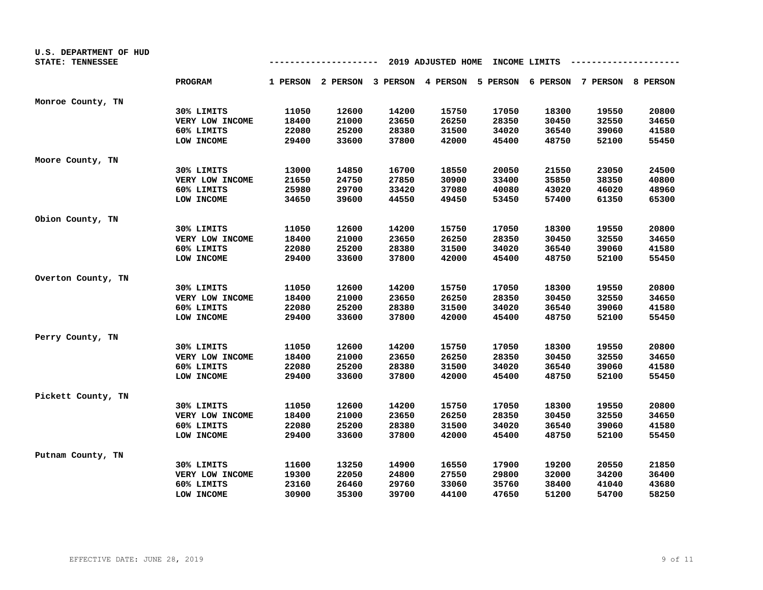| U.S. DEPARTMENT OF HUD |                 |       |       |       |                    |       |               |                                                                         |       |
|------------------------|-----------------|-------|-------|-------|--------------------|-------|---------------|-------------------------------------------------------------------------|-------|
| STATE: TENNESSEE       |                 |       |       | ---   | 2019 ADJUSTED HOME |       | INCOME LIMITS |                                                                         |       |
|                        | <b>PROGRAM</b>  |       |       |       |                    |       |               | 1 PERSON 2 PERSON 3 PERSON 4 PERSON 5 PERSON 6 PERSON 7 PERSON 8 PERSON |       |
| Monroe County, TN      |                 |       |       |       |                    |       |               |                                                                         |       |
|                        | 30% LIMITS      | 11050 | 12600 | 14200 | 15750              | 17050 | 18300         | 19550                                                                   | 20800 |
|                        | VERY LOW INCOME | 18400 | 21000 | 23650 | 26250              | 28350 | 30450         | 32550                                                                   | 34650 |
|                        | 60% LIMITS      | 22080 | 25200 | 28380 | 31500              | 34020 | 36540         | 39060                                                                   | 41580 |
|                        | LOW INCOME      | 29400 | 33600 | 37800 | 42000              | 45400 | 48750         | 52100                                                                   | 55450 |
| Moore County, TN       |                 |       |       |       |                    |       |               |                                                                         |       |
|                        | 30% LIMITS      | 13000 | 14850 | 16700 | 18550              | 20050 | 21550         | 23050                                                                   | 24500 |
|                        | VERY LOW INCOME | 21650 | 24750 | 27850 | 30900              | 33400 | 35850         | 38350                                                                   | 40800 |
|                        | 60% LIMITS      | 25980 | 29700 | 33420 | 37080              | 40080 | 43020         | 46020                                                                   | 48960 |
|                        | LOW INCOME      | 34650 | 39600 | 44550 | 49450              | 53450 | 57400         | 61350                                                                   | 65300 |
| Obion County, TN       |                 |       |       |       |                    |       |               |                                                                         |       |
|                        | 30% LIMITS      | 11050 | 12600 | 14200 | 15750              | 17050 | 18300         | 19550                                                                   | 20800 |
|                        | VERY LOW INCOME | 18400 | 21000 | 23650 | 26250              | 28350 | 30450         | 32550                                                                   | 34650 |
|                        | 60% LIMITS      | 22080 | 25200 | 28380 | 31500              | 34020 | 36540         | 39060                                                                   | 41580 |
|                        | LOW INCOME      | 29400 | 33600 | 37800 | 42000              | 45400 | 48750         | 52100                                                                   | 55450 |
| Overton County, TN     |                 |       |       |       |                    |       |               |                                                                         |       |
|                        | 30% LIMITS      | 11050 | 12600 | 14200 | 15750              | 17050 | 18300         | 19550                                                                   | 20800 |
|                        | VERY LOW INCOME | 18400 | 21000 | 23650 | 26250              | 28350 | 30450         | 32550                                                                   | 34650 |
|                        | 60% LIMITS      | 22080 | 25200 | 28380 | 31500              | 34020 | 36540         | 39060                                                                   | 41580 |
|                        | LOW INCOME      | 29400 | 33600 | 37800 | 42000              | 45400 | 48750         | 52100                                                                   | 55450 |
| Perry County, TN       |                 |       |       |       |                    |       |               |                                                                         |       |
|                        | 30% LIMITS      | 11050 | 12600 | 14200 | 15750              | 17050 | 18300         | 19550                                                                   | 20800 |
|                        | VERY LOW INCOME | 18400 | 21000 | 23650 | 26250              | 28350 | 30450         | 32550                                                                   | 34650 |
|                        | 60% LIMITS      | 22080 | 25200 | 28380 | 31500              | 34020 | 36540         | 39060                                                                   | 41580 |
|                        | LOW INCOME      | 29400 | 33600 | 37800 | 42000              | 45400 | 48750         | 52100                                                                   | 55450 |
| Pickett County, TN     |                 |       |       |       |                    |       |               |                                                                         |       |
|                        | 30% LIMITS      | 11050 | 12600 | 14200 | 15750              | 17050 | 18300         | 19550                                                                   | 20800 |
|                        | VERY LOW INCOME | 18400 | 21000 | 23650 | 26250              | 28350 | 30450         | 32550                                                                   | 34650 |
|                        | 60% LIMITS      | 22080 | 25200 | 28380 | 31500              | 34020 | 36540         | 39060                                                                   | 41580 |
|                        | LOW INCOME      | 29400 | 33600 | 37800 | 42000              | 45400 | 48750         | 52100                                                                   | 55450 |
| Putnam County, TN      |                 |       |       |       |                    |       |               |                                                                         |       |
|                        | 30% LIMITS      | 11600 | 13250 | 14900 | 16550              | 17900 | 19200         | 20550                                                                   | 21850 |
|                        | VERY LOW INCOME | 19300 | 22050 | 24800 | 27550              | 29800 | 32000         | 34200                                                                   | 36400 |
|                        | 60% LIMITS      | 23160 | 26460 | 29760 | 33060              | 35760 | 38400         | 41040                                                                   | 43680 |
|                        | LOW INCOME      | 30900 | 35300 | 39700 | 44100              | 47650 | 51200         | 54700                                                                   | 58250 |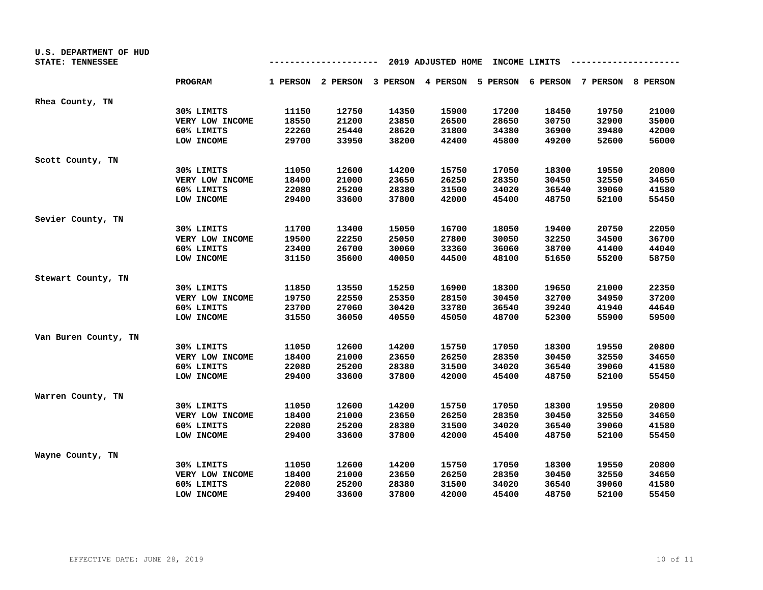| U.S. DEPARTMENT OF HUD<br>STATE: TENNESSEE |                 |       |       | ---   | 2019 ADJUSTED HOME |       | INCOME LIMITS |                                                                         |       |
|--------------------------------------------|-----------------|-------|-------|-------|--------------------|-------|---------------|-------------------------------------------------------------------------|-------|
|                                            | <b>PROGRAM</b>  |       |       |       |                    |       |               | 1 PERSON 2 PERSON 3 PERSON 4 PERSON 5 PERSON 6 PERSON 7 PERSON 8 PERSON |       |
| Rhea County, TN                            |                 |       |       |       |                    |       |               |                                                                         |       |
|                                            | 30% LIMITS      | 11150 | 12750 | 14350 | 15900              | 17200 | 18450         | 19750                                                                   | 21000 |
|                                            | VERY LOW INCOME | 18550 | 21200 | 23850 | 26500              | 28650 | 30750         | 32900                                                                   | 35000 |
|                                            | 60% LIMITS      | 22260 | 25440 | 28620 | 31800              | 34380 | 36900         | 39480                                                                   | 42000 |
|                                            | LOW INCOME      | 29700 | 33950 | 38200 | 42400              | 45800 | 49200         | 52600                                                                   | 56000 |
| Scott County, TN                           |                 |       |       |       |                    |       |               |                                                                         |       |
|                                            | 30% LIMITS      | 11050 | 12600 | 14200 | 15750              | 17050 | 18300         | 19550                                                                   | 20800 |
|                                            | VERY LOW INCOME | 18400 | 21000 | 23650 | 26250              | 28350 | 30450         | 32550                                                                   | 34650 |
|                                            | 60% LIMITS      | 22080 | 25200 | 28380 | 31500              | 34020 | 36540         | 39060                                                                   | 41580 |
|                                            | LOW INCOME      | 29400 | 33600 | 37800 | 42000              | 45400 | 48750         | 52100                                                                   | 55450 |
| Sevier County, TN                          |                 |       |       |       |                    |       |               |                                                                         |       |
|                                            | 30% LIMITS      | 11700 | 13400 | 15050 | 16700              | 18050 | 19400         | 20750                                                                   | 22050 |
|                                            | VERY LOW INCOME | 19500 | 22250 | 25050 | 27800              | 30050 | 32250         | 34500                                                                   | 36700 |
|                                            | 60% LIMITS      | 23400 | 26700 | 30060 | 33360              | 36060 | 38700         | 41400                                                                   | 44040 |
|                                            | LOW INCOME      | 31150 | 35600 | 40050 | 44500              | 48100 | 51650         | 55200                                                                   | 58750 |
| Stewart County, TN                         |                 |       |       |       |                    |       |               |                                                                         |       |
|                                            | 30% LIMITS      | 11850 | 13550 | 15250 | 16900              | 18300 | 19650         | 21000                                                                   | 22350 |
|                                            | VERY LOW INCOME | 19750 | 22550 | 25350 | 28150              | 30450 | 32700         | 34950                                                                   | 37200 |
|                                            | 60% LIMITS      | 23700 | 27060 | 30420 | 33780              | 36540 | 39240         | 41940                                                                   | 44640 |
|                                            | LOW INCOME      | 31550 | 36050 | 40550 | 45050              | 48700 | 52300         | 55900                                                                   | 59500 |
| Van Buren County, TN                       |                 |       |       |       |                    |       |               |                                                                         |       |
|                                            | 30% LIMITS      | 11050 | 12600 | 14200 | 15750              | 17050 | 18300         | 19550                                                                   | 20800 |
|                                            | VERY LOW INCOME | 18400 | 21000 | 23650 | 26250              | 28350 | 30450         | 32550                                                                   | 34650 |
|                                            | 60% LIMITS      | 22080 | 25200 | 28380 | 31500              | 34020 | 36540         | 39060                                                                   | 41580 |
|                                            | LOW INCOME      | 29400 | 33600 | 37800 | 42000              | 45400 | 48750         | 52100                                                                   | 55450 |
| Warren County, TN                          |                 |       |       |       |                    |       |               |                                                                         |       |
|                                            | 30% LIMITS      | 11050 | 12600 | 14200 | 15750              | 17050 | 18300         | 19550                                                                   | 20800 |
|                                            | VERY LOW INCOME | 18400 | 21000 | 23650 | 26250              | 28350 | 30450         | 32550                                                                   | 34650 |
|                                            | 60% LIMITS      | 22080 | 25200 | 28380 | 31500              | 34020 | 36540         | 39060                                                                   | 41580 |
|                                            | LOW INCOME      | 29400 | 33600 | 37800 | 42000              | 45400 | 48750         | 52100                                                                   | 55450 |
| Wayne County, TN                           |                 |       |       |       |                    |       |               |                                                                         |       |
|                                            | 30% LIMITS      | 11050 | 12600 | 14200 | 15750              | 17050 | 18300         | 19550                                                                   | 20800 |
|                                            | VERY LOW INCOME | 18400 | 21000 | 23650 | 26250              | 28350 | 30450         | 32550                                                                   | 34650 |
|                                            | 60% LIMITS      | 22080 | 25200 | 28380 | 31500              | 34020 | 36540         | 39060                                                                   | 41580 |
|                                            | LOW INCOME      | 29400 | 33600 | 37800 | 42000              | 45400 | 48750         | 52100                                                                   | 55450 |